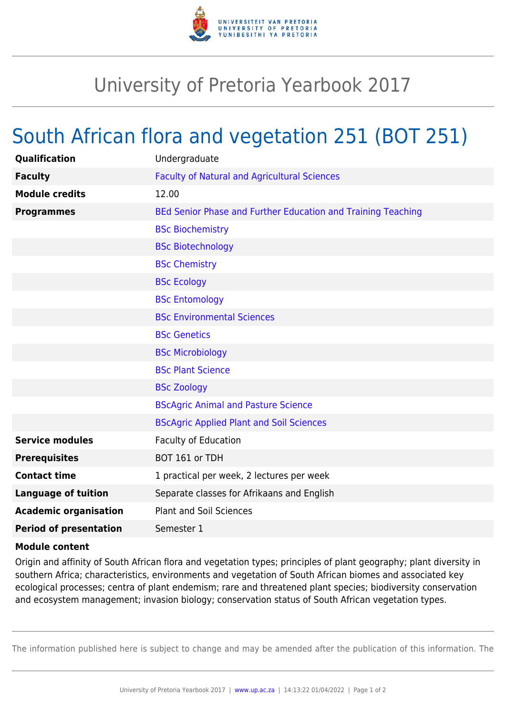

## University of Pretoria Yearbook 2017

## South African flora and vegetation 251 (BOT 251)

| Qualification                 | Undergraduate                                                |
|-------------------------------|--------------------------------------------------------------|
| <b>Faculty</b>                | <b>Faculty of Natural and Agricultural Sciences</b>          |
| <b>Module credits</b>         | 12.00                                                        |
| <b>Programmes</b>             | BEd Senior Phase and Further Education and Training Teaching |
|                               | <b>BSc Biochemistry</b>                                      |
|                               | <b>BSc Biotechnology</b>                                     |
|                               | <b>BSc Chemistry</b>                                         |
|                               | <b>BSc Ecology</b>                                           |
|                               | <b>BSc Entomology</b>                                        |
|                               | <b>BSc Environmental Sciences</b>                            |
|                               | <b>BSc Genetics</b>                                          |
|                               | <b>BSc Microbiology</b>                                      |
|                               | <b>BSc Plant Science</b>                                     |
|                               | <b>BSc Zoology</b>                                           |
|                               | <b>BScAgric Animal and Pasture Science</b>                   |
|                               | <b>BScAgric Applied Plant and Soil Sciences</b>              |
| <b>Service modules</b>        | <b>Faculty of Education</b>                                  |
| <b>Prerequisites</b>          | BOT 161 or TDH                                               |
| <b>Contact time</b>           | 1 practical per week, 2 lectures per week                    |
| <b>Language of tuition</b>    | Separate classes for Afrikaans and English                   |
| <b>Academic organisation</b>  | <b>Plant and Soil Sciences</b>                               |
| <b>Period of presentation</b> | Semester 1                                                   |
|                               |                                                              |

## **Module content**

Origin and affinity of South African flora and vegetation types; principles of plant geography; plant diversity in southern Africa; characteristics, environments and vegetation of South African biomes and associated key ecological processes; centra of plant endemism; rare and threatened plant species; biodiversity conservation and ecosystem management; invasion biology; conservation status of South African vegetation types.

The information published here is subject to change and may be amended after the publication of this information. The